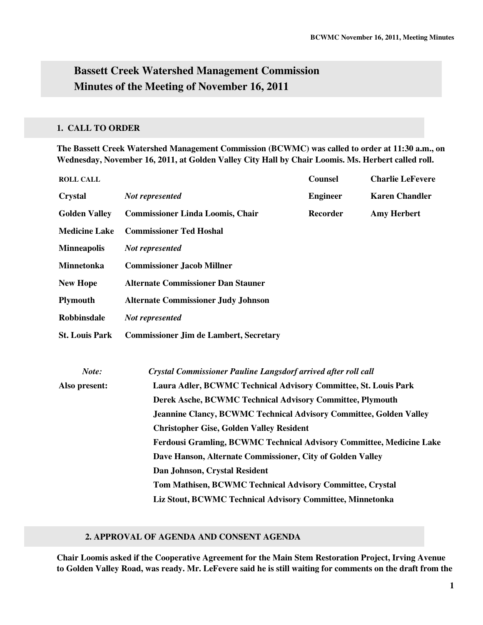# **Bassett Creek Watershed Management Commission Minutes of the Meeting of November 16, 2011**

## **1. CALL TO ORDER**

**The Bassett Creek Watershed Management Commission (BCWMC) was called to order at 11:30 a.m., on Wednesday, November 16, 2011, at Golden Valley City Hall by Chair Loomis. Ms. Herbert called roll.** 

| <b>ROLL CALL</b>      |                                                                             | <b>Counsel</b>  | <b>Charlie LeFevere</b> |  |  |
|-----------------------|-----------------------------------------------------------------------------|-----------------|-------------------------|--|--|
| <b>Crystal</b>        | Not represented                                                             | <b>Engineer</b> | <b>Karen Chandler</b>   |  |  |
| <b>Golden Valley</b>  | <b>Commissioner Linda Loomis, Chair</b>                                     | <b>Recorder</b> | <b>Amy Herbert</b>      |  |  |
| <b>Medicine Lake</b>  | <b>Commissioner Ted Hoshal</b>                                              |                 |                         |  |  |
| <b>Minneapolis</b>    | Not represented                                                             |                 |                         |  |  |
| Minnetonka            | <b>Commissioner Jacob Millner</b>                                           |                 |                         |  |  |
| <b>New Hope</b>       | <b>Alternate Commissioner Dan Stauner</b>                                   |                 |                         |  |  |
| <b>Plymouth</b>       | <b>Alternate Commissioner Judy Johnson</b>                                  |                 |                         |  |  |
| <b>Robbinsdale</b>    | Not represented                                                             |                 |                         |  |  |
| <b>St. Louis Park</b> | <b>Commissioner Jim de Lambert, Secretary</b>                               |                 |                         |  |  |
| Note:                 | Crystal Commissioner Pauline Langsdorf arrived after roll call              |                 |                         |  |  |
| Also present:         | Laura Adler, BCWMC Technical Advisory Committee, St. Louis Park             |                 |                         |  |  |
|                       | Derek Asche, BCWMC Technical Advisory Committee, Plymouth                   |                 |                         |  |  |
|                       | <b>Jeannine Clancy, BCWMC Technical Advisory Committee, Golden Valley</b>   |                 |                         |  |  |
|                       | <b>Christopher Gise, Golden Valley Resident</b>                             |                 |                         |  |  |
|                       | <b>Ferdousi Gramling, BCWMC Technical Advisory Committee, Medicine Lake</b> |                 |                         |  |  |
|                       | Dave Hanson, Alternate Commissioner, City of Golden Valley                  |                 |                         |  |  |
|                       | Dan Johnson, Crystal Resident                                               |                 |                         |  |  |
|                       | Tom Mathisen, BCWMC Technical Advisory Committee, Crystal                   |                 |                         |  |  |
|                       | Liz Stout, BCWMC Technical Advisory Committee, Minnetonka                   |                 |                         |  |  |

#### **2. APPROVAL OF AGENDA AND CONSENT AGENDA**

**Chair Loomis asked if the Cooperative Agreement for the Main Stem Restoration Project, Irving Avenue to Golden Valley Road, was ready. Mr. LeFevere said he is still waiting for comments on the draft from the**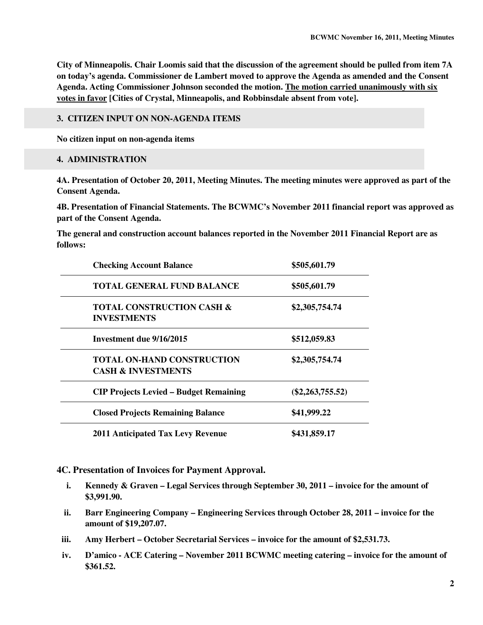**City of Minneapolis. Chair Loomis said that the discussion of the agreement should be pulled from item 7A on today's agenda. Commissioner de Lambert moved to approve the Agenda as amended and the Consent Agenda. Acting Commissioner Johnson seconded the motion. The motion carried unanimously with six votes in favor [Cities of Crystal, Minneapolis, and Robbinsdale absent from vote].** 

#### **3. CITIZEN INPUT ON NON-AGENDA ITEMS**

**No citizen input on non-agenda items** 

#### **4. ADMINISTRATION**

**4A. Presentation of October 20, 2011, Meeting Minutes. The meeting minutes were approved as part of the Consent Agenda.** 

**4B. Presentation of Financial Statements. The BCWMC's November 2011 financial report was approved as part of the Consent Agenda.** 

**The general and construction account balances reported in the November 2011 Financial Report are as follows:** 

| <b>Checking Account Balance</b>                                    | \$505,601.79       |
|--------------------------------------------------------------------|--------------------|
| <b>TOTAL GENERAL FUND BALANCE</b>                                  | \$505,601.79       |
| <b>TOTAL CONSTRUCTION CASH &amp;</b><br><b>INVESTMENTS</b>         | \$2,305,754.74     |
| Investment due 9/16/2015                                           | \$512,059.83       |
| <b>TOTAL ON-HAND CONSTRUCTION</b><br><b>CASH &amp; INVESTMENTS</b> | \$2,305,754.74     |
| <b>CIP Projects Levied – Budget Remaining</b>                      | $(\$2,263,755.52)$ |
| <b>Closed Projects Remaining Balance</b>                           | \$41,999.22        |
| <b>2011 Anticipated Tax Levy Revenue</b>                           | \$431,859.17       |

#### **4C. Presentation of Invoices for Payment Approval.**

- **i. Kennedy & Graven Legal Services through September 30, 2011 invoice for the amount of \$3,991.90.**
- **ii. Barr Engineering Company Engineering Services through October 28, 2011 invoice for the amount of \$19,207.07.**
- **iii. Amy Herbert October Secretarial Services invoice for the amount of \$2,531.73.**
- **iv. D'amico ACE Catering November 2011 BCWMC meeting catering invoice for the amount of \$361.52.**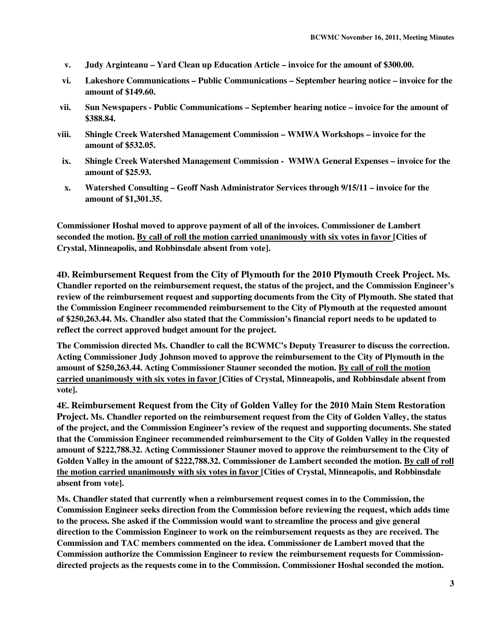- **v. Judy Arginteanu Yard Clean up Education Article invoice for the amount of \$300.00.**
- **vi. Lakeshore Communications Public Communications September hearing notice invoice for the amount of \$149.60.**
- **vii. Sun Newspapers Public Communications September hearing notice invoice for the amount of \$388.84.**
- **viii. Shingle Creek Watershed Management Commission WMWA Workshops invoice for the amount of \$532.05.**
- **ix. Shingle Creek Watershed Management Commission WMWA General Expenses invoice for the amount of \$25.93.**
- **x. Watershed Consulting Geoff Nash Administrator Services through 9/15/11 invoice for the amount of \$1,301.35.**

**Commissioner Hoshal moved to approve payment of all of the invoices. Commissioner de Lambert seconded the motion. By call of roll the motion carried unanimously with six votes in favor [Cities of Crystal, Minneapolis, and Robbinsdale absent from vote].** 

**4D. Reimbursement Request from the City of Plymouth for the 2010 Plymouth Creek Project. Ms. Chandler reported on the reimbursement request, the status of the project, and the Commission Engineer's review of the reimbursement request and supporting documents from the City of Plymouth. She stated that the Commission Engineer recommended reimbursement to the City of Plymouth at the requested amount of \$250,263.44. Ms. Chandler also stated that the Commission's financial report needs to be updated to reflect the correct approved budget amount for the project.** 

**The Commission directed Ms. Chandler to call the BCWMC's Deputy Treasurer to discuss the correction. Acting Commissioner Judy Johnson moved to approve the reimbursement to the City of Plymouth in the amount of \$250,263.44. Acting Commissioner Stauner seconded the motion. By call of roll the motion carried unanimously with six votes in favor [Cities of Crystal, Minneapolis, and Robbinsdale absent from vote].** 

**4E. Reimbursement Request from the City of Golden Valley for the 2010 Main Stem Restoration Project. Ms. Chandler reported on the reimbursement request from the City of Golden Valley, the status of the project, and the Commission Engineer's review of the request and supporting documents. She stated that the Commission Engineer recommended reimbursement to the City of Golden Valley in the requested amount of \$222,788.32. Acting Commissioner Stauner moved to approve the reimbursement to the City of Golden Valley in the amount of \$222,788.32. Commissioner de Lambert seconded the motion. By call of roll the motion carried unanimously with six votes in favor [Cities of Crystal, Minneapolis, and Robbinsdale absent from vote].** 

**Ms. Chandler stated that currently when a reimbursement request comes in to the Commission, the Commission Engineer seeks direction from the Commission before reviewing the request, which adds time to the process. She asked if the Commission would want to streamline the process and give general direction to the Commission Engineer to work on the reimbursement requests as they are received. The Commission and TAC members commented on the idea. Commissioner de Lambert moved that the Commission authorize the Commission Engineer to review the reimbursement requests for Commissiondirected projects as the requests come in to the Commission. Commissioner Hoshal seconded the motion.**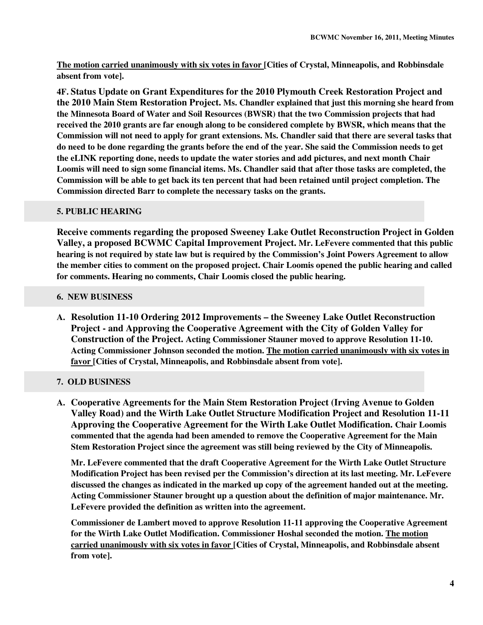**The motion carried unanimously with six votes in favor [Cities of Crystal, Minneapolis, and Robbinsdale absent from vote].** 

**4F. Status Update on Grant Expenditures for the 2010 Plymouth Creek Restoration Project and the 2010 Main Stem Restoration Project. Ms. Chandler explained that just this morning she heard from the Minnesota Board of Water and Soil Resources (BWSR) that the two Commission projects that had received the 2010 grants are far enough along to be considered complete by BWSR, which means that the Commission will not need to apply for grant extensions. Ms. Chandler said that there are several tasks that do need to be done regarding the grants before the end of the year. She said the Commission needs to get the eLINK reporting done, needs to update the water stories and add pictures, and next month Chair Loomis will need to sign some financial items. Ms. Chandler said that after those tasks are completed, the Commission will be able to get back its ten percent that had been retained until project completion. The Commission directed Barr to complete the necessary tasks on the grants.** 

# **5. PUBLIC HEARING**

**Receive comments regarding the proposed Sweeney Lake Outlet Reconstruction Project in Golden Valley, a proposed BCWMC Capital Improvement Project. Mr. LeFevere commented that this public hearing is not required by state law but is required by the Commission's Joint Powers Agreement to allow the member cities to comment on the proposed project. Chair Loomis opened the public hearing and called for comments. Hearing no comments, Chair Loomis closed the public hearing.**

# **6. NEW BUSINESS**

**A. Resolution 11-10 Ordering 2012 Improvements – the Sweeney Lake Outlet Reconstruction Project - and Approving the Cooperative Agreement with the City of Golden Valley for Construction of the Project. Acting Commissioner Stauner moved to approve Resolution 11-10. Acting Commissioner Johnson seconded the motion. The motion carried unanimously with six votes in favor [Cities of Crystal, Minneapolis, and Robbinsdale absent from vote].** 

# **7. OLD BUSINESS**

**A. Cooperative Agreements for the Main Stem Restoration Project (Irving Avenue to Golden Valley Road) and the Wirth Lake Outlet Structure Modification Project and Resolution 11-11 Approving the Cooperative Agreement for the Wirth Lake Outlet Modification. Chair Loomis commented that the agenda had been amended to remove the Cooperative Agreement for the Main Stem Restoration Project since the agreement was still being reviewed by the City of Minneapolis.** 

**Mr. LeFevere commented that the draft Cooperative Agreement for the Wirth Lake Outlet Structure Modification Project has been revised per the Commission's direction at its last meeting. Mr. LeFevere discussed the changes as indicated in the marked up copy of the agreement handed out at the meeting. Acting Commissioner Stauner brought up a question about the definition of major maintenance. Mr. LeFevere provided the definition as written into the agreement.** 

**Commissioner de Lambert moved to approve Resolution 11-11 approving the Cooperative Agreement for the Wirth Lake Outlet Modification. Commissioner Hoshal seconded the motion. The motion carried unanimously with six votes in favor [Cities of Crystal, Minneapolis, and Robbinsdale absent from vote].**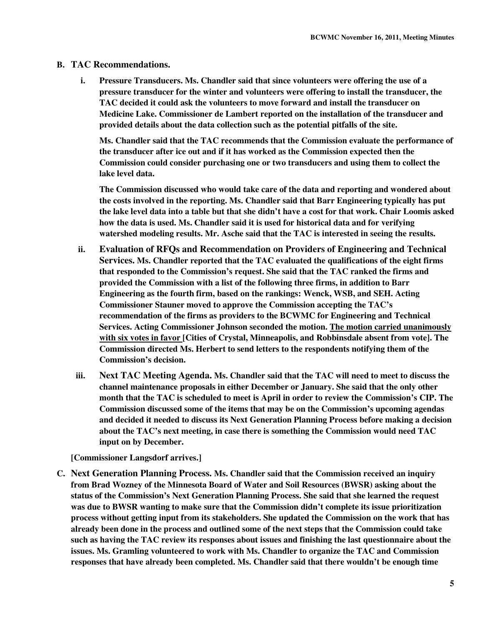## **B. TAC Recommendations.**

**i. Pressure Transducers. Ms. Chandler said that since volunteers were offering the use of a pressure transducer for the winter and volunteers were offering to install the transducer, the TAC decided it could ask the volunteers to move forward and install the transducer on Medicine Lake. Commissioner de Lambert reported on the installation of the transducer and provided details about the data collection such as the potential pitfalls of the site.** 

**Ms. Chandler said that the TAC recommends that the Commission evaluate the performance of the transducer after ice out and if it has worked as the Commission expected then the Commission could consider purchasing one or two transducers and using them to collect the lake level data.** 

**The Commission discussed who would take care of the data and reporting and wondered about the costs involved in the reporting. Ms. Chandler said that Barr Engineering typically has put the lake level data into a table but that she didn't have a cost for that work. Chair Loomis asked how the data is used. Ms. Chandler said it is used for historical data and for verifying watershed modeling results. Mr. Asche said that the TAC is interested in seeing the results.** 

- **ii. Evaluation of RFQs and Recommendation on Providers of Engineering and Technical Services. Ms. Chandler reported that the TAC evaluated the qualifications of the eight firms that responded to the Commission's request. She said that the TAC ranked the firms and provided the Commission with a list of the following three firms, in addition to Barr Engineering as the fourth firm, based on the rankings: Wenck, WSB, and SEH. Acting Commissioner Stauner moved to approve the Commission accepting the TAC's recommendation of the firms as providers to the BCWMC for Engineering and Technical Services. Acting Commissioner Johnson seconded the motion. The motion carried unanimously with six votes in favor [Cities of Crystal, Minneapolis, and Robbinsdale absent from vote]. The Commission directed Ms. Herbert to send letters to the respondents notifying them of the Commission's decision.**
- **iii. Next TAC Meeting Agenda. Ms. Chandler said that the TAC will need to meet to discuss the channel maintenance proposals in either December or January. She said that the only other month that the TAC is scheduled to meet is April in order to review the Commission's CIP. The Commission discussed some of the items that may be on the Commission's upcoming agendas and decided it needed to discuss its Next Generation Planning Process before making a decision about the TAC's next meeting, in case there is something the Commission would need TAC input on by December.**

**[Commissioner Langsdorf arrives.]** 

**C. Next Generation Planning Process. Ms. Chandler said that the Commission received an inquiry from Brad Wozney of the Minnesota Board of Water and Soil Resources (BWSR) asking about the status of the Commission's Next Generation Planning Process. She said that she learned the request was due to BWSR wanting to make sure that the Commission didn't complete its issue prioritization process without getting input from its stakeholders. She updated the Commission on the work that has already been done in the process and outlined some of the next steps that the Commission could take such as having the TAC review its responses about issues and finishing the last questionnaire about the issues. Ms. Gramling volunteered to work with Ms. Chandler to organize the TAC and Commission responses that have already been completed. Ms. Chandler said that there wouldn't be enough time**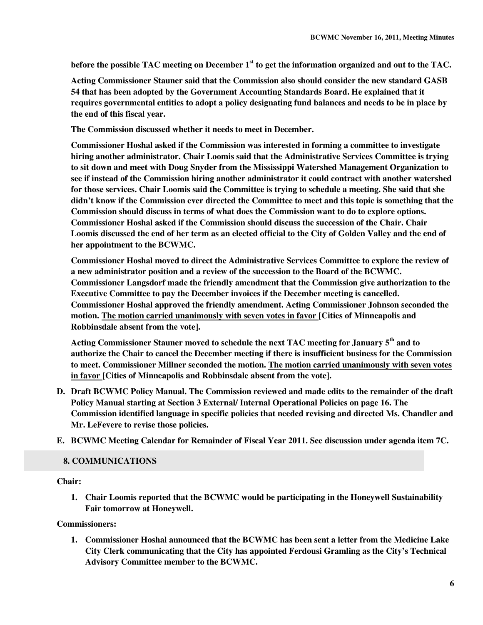**before the possible TAC meeting on December 1st to get the information organized and out to the TAC.** 

**Acting Commissioner Stauner said that the Commission also should consider the new standard GASB 54 that has been adopted by the Government Accounting Standards Board. He explained that it requires governmental entities to adopt a policy designating fund balances and needs to be in place by the end of this fiscal year.** 

**The Commission discussed whether it needs to meet in December.** 

**Commissioner Hoshal asked if the Commission was interested in forming a committee to investigate hiring another administrator. Chair Loomis said that the Administrative Services Committee is trying to sit down and meet with Doug Snyder from the Mississippi Watershed Management Organization to see if instead of the Commission hiring another administrator it could contract with another watershed for those services. Chair Loomis said the Committee is trying to schedule a meeting. She said that she didn't know if the Commission ever directed the Committee to meet and this topic is something that the Commission should discuss in terms of what does the Commission want to do to explore options. Commissioner Hoshal asked if the Commission should discuss the succession of the Chair. Chair Loomis discussed the end of her term as an elected official to the City of Golden Valley and the end of her appointment to the BCWMC.** 

**Commissioner Hoshal moved to direct the Administrative Services Committee to explore the review of a new administrator position and a review of the succession to the Board of the BCWMC. Commissioner Langsdorf made the friendly amendment that the Commission give authorization to the Executive Committee to pay the December invoices if the December meeting is cancelled. Commissioner Hoshal approved the friendly amendment. Acting Commissioner Johnson seconded the motion. The motion carried unanimously with seven votes in favor [Cities of Minneapolis and Robbinsdale absent from the vote].** 

**Acting Commissioner Stauner moved to schedule the next TAC meeting for January 5th and to authorize the Chair to cancel the December meeting if there is insufficient business for the Commission to meet. Commissioner Millner seconded the motion. The motion carried unanimously with seven votes in favor [Cities of Minneapolis and Robbinsdale absent from the vote].** 

- **D. Draft BCWMC Policy Manual. The Commission reviewed and made edits to the remainder of the draft Policy Manual starting at Section 3 External/ Internal Operational Policies on page 16. The Commission identified language in specific policies that needed revising and directed Ms. Chandler and Mr. LeFevere to revise those policies.**
- **E. BCWMC Meeting Calendar for Remainder of Fiscal Year 2011. See discussion under agenda item 7C.**

#### **8. COMMUNICATIONS**

**Chair:** 

**1. Chair Loomis reported that the BCWMC would be participating in the Honeywell Sustainability Fair tomorrow at Honeywell.** 

**Commissioners:** 

**1. Commissioner Hoshal announced that the BCWMC has been sent a letter from the Medicine Lake City Clerk communicating that the City has appointed Ferdousi Gramling as the City's Technical Advisory Committee member to the BCWMC.**